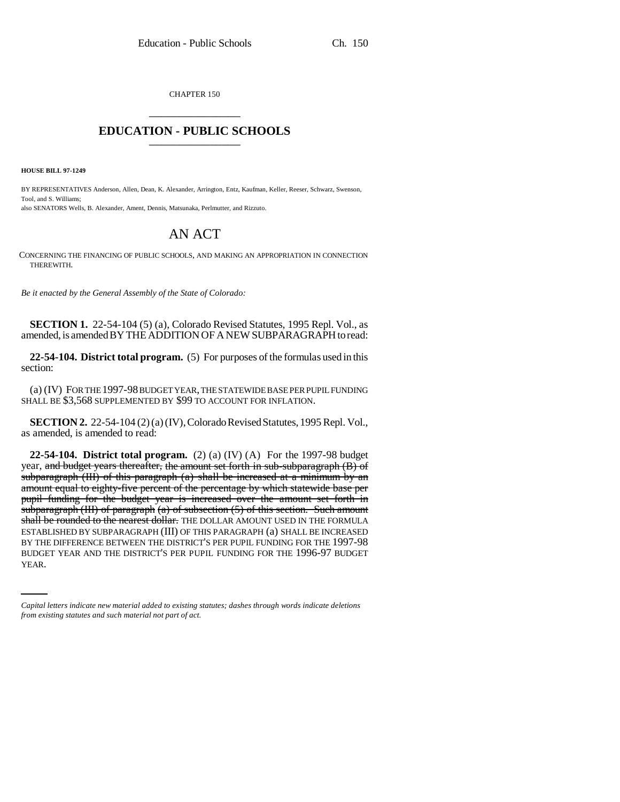CHAPTER 150 \_\_\_\_\_\_\_\_\_\_\_\_\_\_\_

## **EDUCATION - PUBLIC SCHOOLS** \_\_\_\_\_\_\_\_\_\_\_\_\_\_\_

**HOUSE BILL 97-1249**

BY REPRESENTATIVES Anderson, Allen, Dean, K. Alexander, Arrington, Entz, Kaufman, Keller, Reeser, Schwarz, Swenson, Tool, and S. Williams; also SENATORS Wells, B. Alexander, Ament, Dennis, Matsunaka, Perlmutter, and Rizzuto.

# AN ACT

CONCERNING THE FINANCING OF PUBLIC SCHOOLS, AND MAKING AN APPROPRIATION IN CONNECTION THEREWITH.

*Be it enacted by the General Assembly of the State of Colorado:*

**SECTION 1.** 22-54-104 (5) (a), Colorado Revised Statutes, 1995 Repl. Vol., as amended, is amended BY THE ADDITION OF A NEW SUBPARAGRAPH to read:

**22-54-104. District total program.** (5) For purposes of the formulas used in this section:

(a) (IV) FOR THE 1997-98 BUDGET YEAR, THE STATEWIDE BASE PER PUPIL FUNDING SHALL BE \$3,568 SUPPLEMENTED BY \$99 TO ACCOUNT FOR INFLATION.

**SECTION 2.** 22-54-104 (2) (a) (IV), Colorado Revised Statutes, 1995 Repl. Vol., as amended, is amended to read:

BY THE DIFFERENCE BETWEEN THE DISTRICT'S PER PUPIL FUNDING FOR THE 1997-98 **22-54-104. District total program.** (2) (a) (IV) (A) For the 1997-98 budget year, and budget years thereafter, the amount set forth in sub-subparagraph (B) of subparagraph (III) of this paragraph (a) shall be increased at a minimum by an amount equal to eighty-five percent of the percentage by which statewide base per pupil funding for the budget year is increased over the amount set forth in subparagraph (III) of paragraph  $(a)$  of subsection  $(5)$  of this section. Such amount shall be rounded to the nearest dollar. THE DOLLAR AMOUNT USED IN THE FORMULA ESTABLISHED BY SUBPARAGRAPH (III) OF THIS PARAGRAPH (a) SHALL BE INCREASED BUDGET YEAR AND THE DISTRICT'S PER PUPIL FUNDING FOR THE 1996-97 BUDGET YEAR.

*Capital letters indicate new material added to existing statutes; dashes through words indicate deletions from existing statutes and such material not part of act.*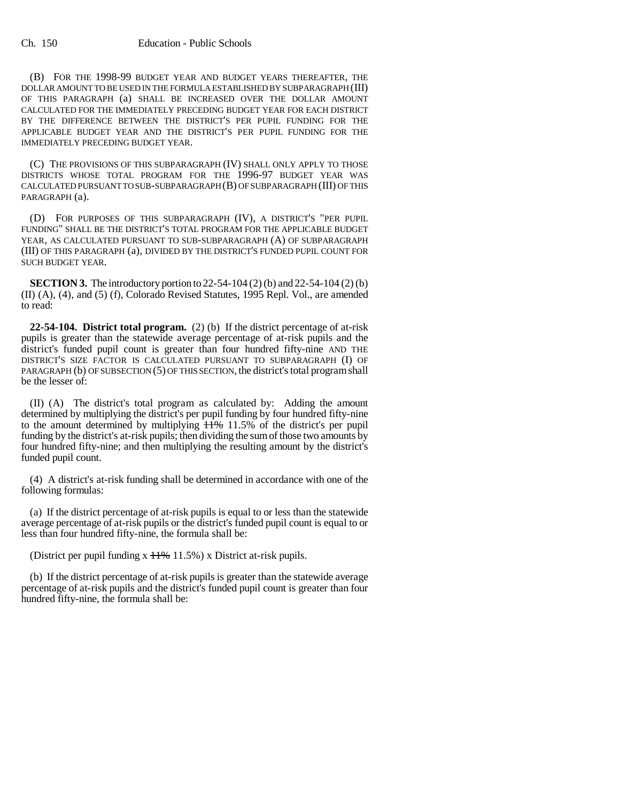(B) FOR THE 1998-99 BUDGET YEAR AND BUDGET YEARS THEREAFTER, THE DOLLAR AMOUNT TO BE USED IN THE FORMULA ESTABLISHED BY SUBPARAGRAPH (III) OF THIS PARAGRAPH (a) SHALL BE INCREASED OVER THE DOLLAR AMOUNT CALCULATED FOR THE IMMEDIATELY PRECEDING BUDGET YEAR FOR EACH DISTRICT BY THE DIFFERENCE BETWEEN THE DISTRICT'S PER PUPIL FUNDING FOR THE APPLICABLE BUDGET YEAR AND THE DISTRICT'S PER PUPIL FUNDING FOR THE IMMEDIATELY PRECEDING BUDGET YEAR.

(C) THE PROVISIONS OF THIS SUBPARAGRAPH (IV) SHALL ONLY APPLY TO THOSE DISTRICTS WHOSE TOTAL PROGRAM FOR THE 1996-97 BUDGET YEAR WAS CALCULATED PURSUANT TO SUB-SUBPARAGRAPH (B) OF SUBPARAGRAPH (III) OF THIS PARAGRAPH (a).

(D) FOR PURPOSES OF THIS SUBPARAGRAPH (IV), A DISTRICT'S "PER PUPIL FUNDING" SHALL BE THE DISTRICT'S TOTAL PROGRAM FOR THE APPLICABLE BUDGET YEAR, AS CALCULATED PURSUANT TO SUB-SUBPARAGRAPH (A) OF SUBPARAGRAPH (III) OF THIS PARAGRAPH (a), DIVIDED BY THE DISTRICT'S FUNDED PUPIL COUNT FOR SUCH BUDGET YEAR.

**SECTION 3.** The introductory portion to 22-54-104 (2) (b) and 22-54-104 (2) (b) (II) (A), (4), and (5) (f), Colorado Revised Statutes, 1995 Repl. Vol., are amended to read:

**22-54-104. District total program.** (2) (b) If the district percentage of at-risk pupils is greater than the statewide average percentage of at-risk pupils and the district's funded pupil count is greater than four hundred fifty-nine AND THE DISTRICT'S SIZE FACTOR IS CALCULATED PURSUANT TO SUBPARAGRAPH (I) OF PARAGRAPH (b) OF SUBSECTION (5) OF THIS SECTION, the district's total program shall be the lesser of:

(II) (A) The district's total program as calculated by: Adding the amount determined by multiplying the district's per pupil funding by four hundred fifty-nine to the amount determined by multiplying  $\frac{11}{100}$  11.5% of the district's per pupil funding by the district's at-risk pupils; then dividing the sum of those two amounts by four hundred fifty-nine; and then multiplying the resulting amount by the district's funded pupil count.

(4) A district's at-risk funding shall be determined in accordance with one of the following formulas:

(a) If the district percentage of at-risk pupils is equal to or less than the statewide average percentage of at-risk pupils or the district's funded pupil count is equal to or less than four hundred fifty-nine, the formula shall be:

(District per pupil funding  $x$   $H$ % 11.5%) x District at-risk pupils.

(b) If the district percentage of at-risk pupils is greater than the statewide average percentage of at-risk pupils and the district's funded pupil count is greater than four hundred fifty-nine, the formula shall be: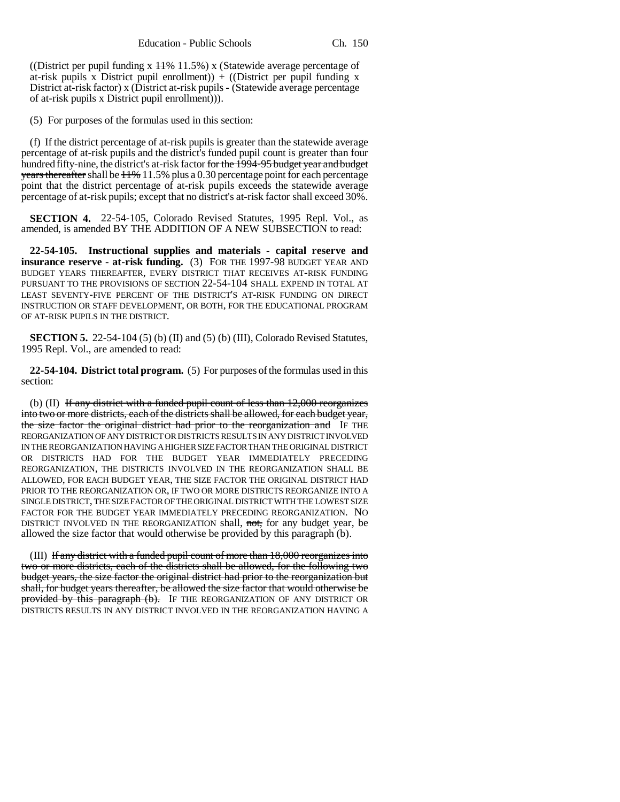((District per pupil funding x  $11\%$  11.5%) x (Statewide average percentage of at-risk pupils x District pupil enrollment) + ((District per pupil funding x District at-risk factor) x (District at-risk pupils - (Statewide average percentage of at-risk pupils x District pupil enrollment))).

(5) For purposes of the formulas used in this section:

(f) If the district percentage of at-risk pupils is greater than the statewide average percentage of at-risk pupils and the district's funded pupil count is greater than four hundred fifty-nine, the district's at-risk factor for the 1994-95 budget year and budget years thereafter shall be  $11\% 11.5\%$  plus a 0.30 percentage point for each percentage point that the district percentage of at-risk pupils exceeds the statewide average percentage of at-risk pupils; except that no district's at-risk factor shall exceed 30%.

**SECTION 4.** 22-54-105, Colorado Revised Statutes, 1995 Repl. Vol., as amended, is amended BY THE ADDITION OF A NEW SUBSECTION to read:

**22-54-105. Instructional supplies and materials - capital reserve and insurance reserve - at-risk funding.** (3) FOR THE 1997-98 BUDGET YEAR AND BUDGET YEARS THEREAFTER, EVERY DISTRICT THAT RECEIVES AT-RISK FUNDING PURSUANT TO THE PROVISIONS OF SECTION 22-54-104 SHALL EXPEND IN TOTAL AT LEAST SEVENTY-FIVE PERCENT OF THE DISTRICT'S AT-RISK FUNDING ON DIRECT INSTRUCTION OR STAFF DEVELOPMENT, OR BOTH, FOR THE EDUCATIONAL PROGRAM OF AT-RISK PUPILS IN THE DISTRICT.

**SECTION 5.** 22-54-104 (5) (b) (II) and (5) (b) (III), Colorado Revised Statutes, 1995 Repl. Vol., are amended to read:

**22-54-104. District total program.** (5) For purposes of the formulas used in this section:

(b) (II) If any district with a funded pupil count of less than  $12,000$  reorganizes into two or more districts, each of the districts shall be allowed, for each budget year, the size factor the original district had prior to the reorganization and IF THE REORGANIZATION OF ANY DISTRICT OR DISTRICTS RESULTS IN ANY DISTRICT INVOLVED IN THE REORGANIZATION HAVING A HIGHER SIZE FACTOR THAN THE ORIGINAL DISTRICT OR DISTRICTS HAD FOR THE BUDGET YEAR IMMEDIATELY PRECEDING REORGANIZATION, THE DISTRICTS INVOLVED IN THE REORGANIZATION SHALL BE ALLOWED, FOR EACH BUDGET YEAR, THE SIZE FACTOR THE ORIGINAL DISTRICT HAD PRIOR TO THE REORGANIZATION OR, IF TWO OR MORE DISTRICTS REORGANIZE INTO A SINGLE DISTRICT, THE SIZE FACTOR OF THE ORIGINAL DISTRICT WITH THE LOWEST SIZE FACTOR FOR THE BUDGET YEAR IMMEDIATELY PRECEDING REORGANIZATION. NO DISTRICT INVOLVED IN THE REORGANIZATION shall, not, for any budget year, be allowed the size factor that would otherwise be provided by this paragraph (b).

(III) If any district with a funded pupil count of more than 18,000 reorganizes into two or more districts, each of the districts shall be allowed, for the following two budget years, the size factor the original district had prior to the reorganization but shall, for budget years thereafter, be allowed the size factor that would otherwise be provided by this paragraph (b). IF THE REORGANIZATION OF ANY DISTRICT OR DISTRICTS RESULTS IN ANY DISTRICT INVOLVED IN THE REORGANIZATION HAVING A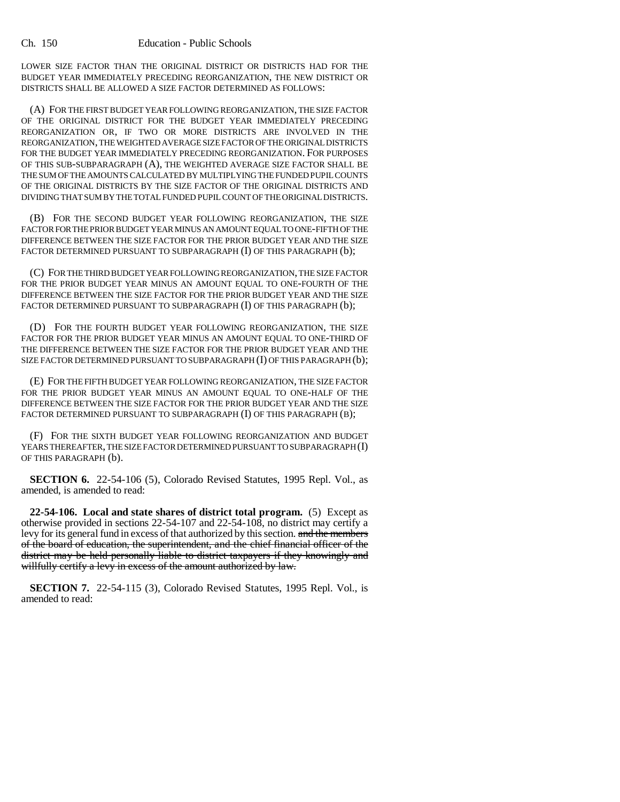LOWER SIZE FACTOR THAN THE ORIGINAL DISTRICT OR DISTRICTS HAD FOR THE BUDGET YEAR IMMEDIATELY PRECEDING REORGANIZATION, THE NEW DISTRICT OR DISTRICTS SHALL BE ALLOWED A SIZE FACTOR DETERMINED AS FOLLOWS:

(A) FOR THE FIRST BUDGET YEAR FOLLOWING REORGANIZATION, THE SIZE FACTOR OF THE ORIGINAL DISTRICT FOR THE BUDGET YEAR IMMEDIATELY PRECEDING REORGANIZATION OR, IF TWO OR MORE DISTRICTS ARE INVOLVED IN THE REORGANIZATION, THE WEIGHTED AVERAGE SIZE FACTOR OF THE ORIGINAL DISTRICTS FOR THE BUDGET YEAR IMMEDIATELY PRECEDING REORGANIZATION. FOR PURPOSES OF THIS SUB-SUBPARAGRAPH (A), THE WEIGHTED AVERAGE SIZE FACTOR SHALL BE THE SUM OF THE AMOUNTS CALCULATED BY MULTIPLYING THE FUNDED PUPIL COUNTS OF THE ORIGINAL DISTRICTS BY THE SIZE FACTOR OF THE ORIGINAL DISTRICTS AND DIVIDING THAT SUM BY THE TOTAL FUNDED PUPIL COUNT OF THE ORIGINAL DISTRICTS.

(B) FOR THE SECOND BUDGET YEAR FOLLOWING REORGANIZATION, THE SIZE FACTOR FOR THE PRIOR BUDGET YEAR MINUS AN AMOUNT EQUAL TO ONE-FIFTH OF THE DIFFERENCE BETWEEN THE SIZE FACTOR FOR THE PRIOR BUDGET YEAR AND THE SIZE FACTOR DETERMINED PURSUANT TO SUBPARAGRAPH (I) OF THIS PARAGRAPH (b);

(C) FOR THE THIRD BUDGET YEAR FOLLOWING REORGANIZATION, THE SIZE FACTOR FOR THE PRIOR BUDGET YEAR MINUS AN AMOUNT EQUAL TO ONE-FOURTH OF THE DIFFERENCE BETWEEN THE SIZE FACTOR FOR THE PRIOR BUDGET YEAR AND THE SIZE FACTOR DETERMINED PURSUANT TO SUBPARAGRAPH (I) OF THIS PARAGRAPH (b);

(D) FOR THE FOURTH BUDGET YEAR FOLLOWING REORGANIZATION, THE SIZE FACTOR FOR THE PRIOR BUDGET YEAR MINUS AN AMOUNT EQUAL TO ONE-THIRD OF THE DIFFERENCE BETWEEN THE SIZE FACTOR FOR THE PRIOR BUDGET YEAR AND THE SIZE FACTOR DETERMINED PURSUANT TO SUBPARAGRAPH (I) OF THIS PARAGRAPH (b);

(E) FOR THE FIFTH BUDGET YEAR FOLLOWING REORGANIZATION, THE SIZE FACTOR FOR THE PRIOR BUDGET YEAR MINUS AN AMOUNT EQUAL TO ONE-HALF OF THE DIFFERENCE BETWEEN THE SIZE FACTOR FOR THE PRIOR BUDGET YEAR AND THE SIZE FACTOR DETERMINED PURSUANT TO SUBPARAGRAPH (I) OF THIS PARAGRAPH (B);

(F) FOR THE SIXTH BUDGET YEAR FOLLOWING REORGANIZATION AND BUDGET YEARS THEREAFTER, THE SIZE FACTOR DETERMINED PURSUANT TO SUBPARAGRAPH (I) OF THIS PARAGRAPH (b).

**SECTION 6.** 22-54-106 (5), Colorado Revised Statutes, 1995 Repl. Vol., as amended, is amended to read:

**22-54-106. Local and state shares of district total program.** (5) Except as otherwise provided in sections 22-54-107 and 22-54-108, no district may certify a levy for its general fund in excess of that authorized by this section. and the members of the board of education, the superintendent, and the chief financial officer of the district may be held personally liable to district taxpayers if they knowingly and willfully certify a levy in excess of the amount authorized by law.

**SECTION 7.** 22-54-115 (3), Colorado Revised Statutes, 1995 Repl. Vol., is amended to read: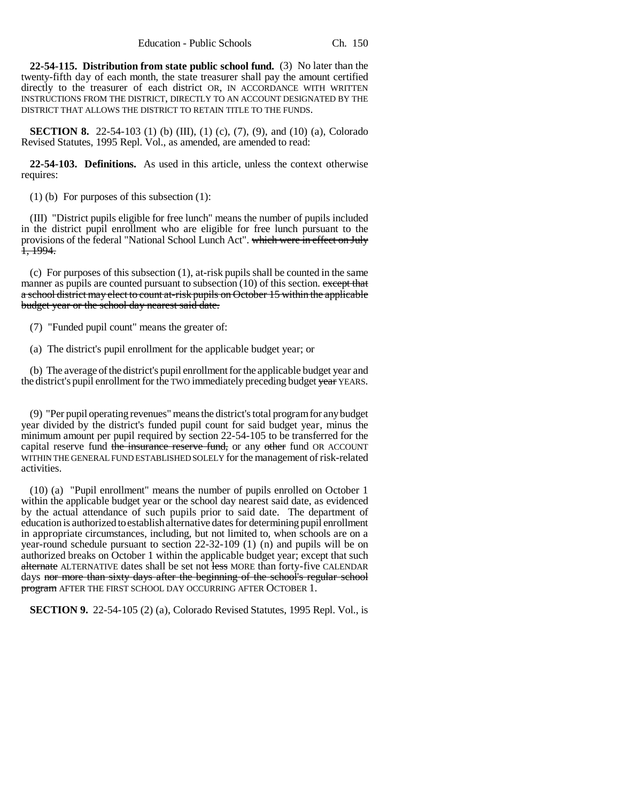**22-54-115. Distribution from state public school fund.** (3) No later than the twenty-fifth day of each month, the state treasurer shall pay the amount certified directly to the treasurer of each district OR, IN ACCORDANCE WITH WRITTEN INSTRUCTIONS FROM THE DISTRICT, DIRECTLY TO AN ACCOUNT DESIGNATED BY THE DISTRICT THAT ALLOWS THE DISTRICT TO RETAIN TITLE TO THE FUNDS.

**SECTION 8.** 22-54-103 (1) (b) (III), (1) (c), (7), (9), and (10) (a), Colorado Revised Statutes, 1995 Repl. Vol., as amended, are amended to read:

**22-54-103. Definitions.** As used in this article, unless the context otherwise requires:

(1) (b) For purposes of this subsection (1):

(III) "District pupils eligible for free lunch" means the number of pupils included in the district pupil enrollment who are eligible for free lunch pursuant to the provisions of the federal "National School Lunch Act". which were in effect on July 1, 1994.

(c) For purposes of this subsection (1), at-risk pupils shall be counted in the same manner as pupils are counted pursuant to subsection (10) of this section. except that a school district may elect to count at-risk pupils on October 15 within the applicable budget year or the school day nearest said date.

(7) "Funded pupil count" means the greater of:

(a) The district's pupil enrollment for the applicable budget year; or

(b) The average of the district's pupil enrollment for the applicable budget year and the district's pupil enrollment for the TWO immediately preceding budget year YEARS.

(9) "Per pupil operating revenues" means the district's total program for any budget year divided by the district's funded pupil count for said budget year, minus the minimum amount per pupil required by section 22-54-105 to be transferred for the capital reserve fund the insurance reserve fund, or any other fund OR ACCOUNT WITHIN THE GENERAL FUND ESTABLISHED SOLELY for the management of risk-related activities.

(10) (a) "Pupil enrollment" means the number of pupils enrolled on October 1 within the applicable budget year or the school day nearest said date, as evidenced by the actual attendance of such pupils prior to said date. The department of education is authorized to establish alternative dates for determining pupil enrollment in appropriate circumstances, including, but not limited to, when schools are on a year-round schedule pursuant to section 22-32-109 (1) (n) and pupils will be on authorized breaks on October 1 within the applicable budget year; except that such alternate ALTERNATIVE dates shall be set not less MORE than forty-five CALENDAR days nor more than sixty days after the beginning of the school's regular school program AFTER THE FIRST SCHOOL DAY OCCURRING AFTER OCTOBER 1.

**SECTION 9.** 22-54-105 (2) (a), Colorado Revised Statutes, 1995 Repl. Vol., is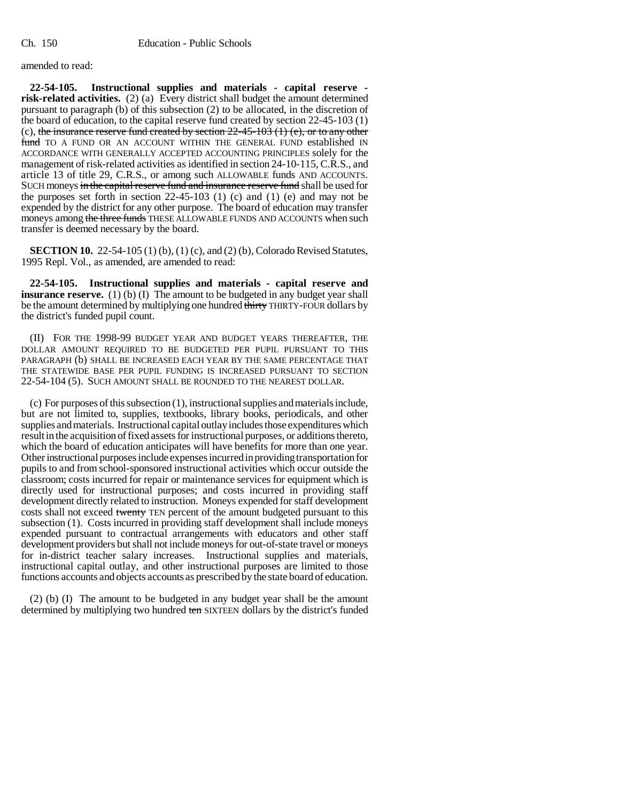amended to read:

**22-54-105. Instructional supplies and materials - capital reserve risk-related activities.** (2) (a) Every district shall budget the amount determined pursuant to paragraph (b) of this subsection (2) to be allocated, in the discretion of the board of education, to the capital reserve fund created by section 22-45-103 (1) (c), the insurance reserve fund created by section  $22-45-103$  (1) (e), or to any other fund TO A FUND OR AN ACCOUNT WITHIN THE GENERAL FUND established IN ACCORDANCE WITH GENERALLY ACCEPTED ACCOUNTING PRINCIPLES solely for the management of risk-related activities as identified in section 24-10-115, C.R.S., and article 13 of title 29, C.R.S., or among such ALLOWABLE funds AND ACCOUNTS. SUCH moneys in the capital reserve fund and insurance reserve fund shall be used for the purposes set forth in section  $22-45-103$  (1) (c) and (1) (e) and may not be expended by the district for any other purpose. The board of education may transfer moneys among the three funds THESE ALLOWABLE FUNDS AND ACCOUNTS when such transfer is deemed necessary by the board.

**SECTION 10.** 22-54-105 (1) (b), (1) (c), and (2) (b), Colorado Revised Statutes, 1995 Repl. Vol., as amended, are amended to read:

**22-54-105. Instructional supplies and materials - capital reserve and insurance reserve.** (1) (b) (I) The amount to be budgeted in any budget year shall be the amount determined by multiplying one hundred thirty THIRTY-FOUR dollars by the district's funded pupil count.

(II) FOR THE 1998-99 BUDGET YEAR AND BUDGET YEARS THEREAFTER, THE DOLLAR AMOUNT REQUIRED TO BE BUDGETED PER PUPIL PURSUANT TO THIS PARAGRAPH (b) SHALL BE INCREASED EACH YEAR BY THE SAME PERCENTAGE THAT THE STATEWIDE BASE PER PUPIL FUNDING IS INCREASED PURSUANT TO SECTION 22-54-104 (5). SUCH AMOUNT SHALL BE ROUNDED TO THE NEAREST DOLLAR.

(c) For purposes of this subsection (1), instructional supplies and materials include, but are not limited to, supplies, textbooks, library books, periodicals, and other supplies and materials. Instructional capital outlay includes those expenditures which result in the acquisition of fixed assets for instructional purposes, or additions thereto, which the board of education anticipates will have benefits for more than one year. Other instructional purposes include expenses incurred in providing transportation for pupils to and from school-sponsored instructional activities which occur outside the classroom; costs incurred for repair or maintenance services for equipment which is directly used for instructional purposes; and costs incurred in providing staff development directly related to instruction. Moneys expended for staff development costs shall not exceed twenty TEN percent of the amount budgeted pursuant to this subsection (1). Costs incurred in providing staff development shall include moneys expended pursuant to contractual arrangements with educators and other staff development providers but shall not include moneys for out-of-state travel or moneys for in-district teacher salary increases. Instructional supplies and materials, instructional capital outlay, and other instructional purposes are limited to those functions accounts and objects accounts as prescribed by the state board of education.

(2) (b) (I) The amount to be budgeted in any budget year shall be the amount determined by multiplying two hundred ten SIXTEEN dollars by the district's funded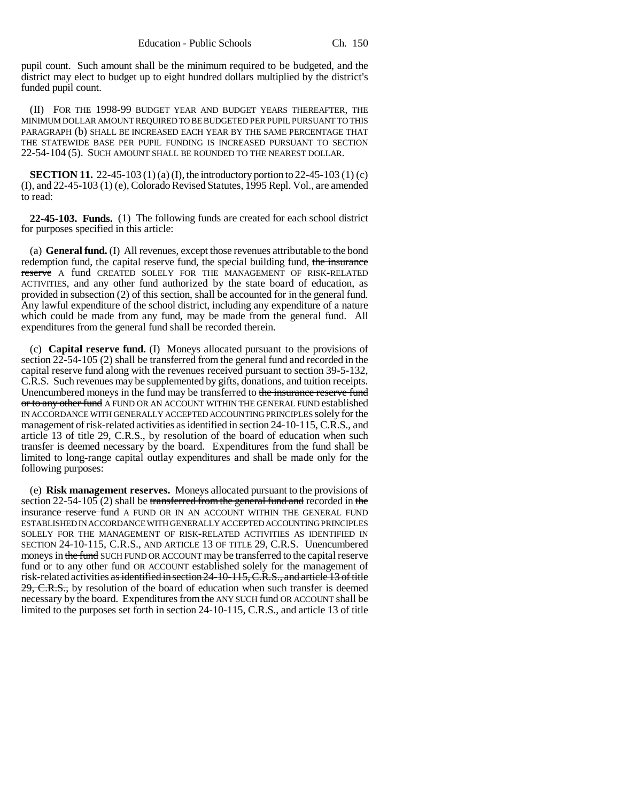pupil count. Such amount shall be the minimum required to be budgeted, and the district may elect to budget up to eight hundred dollars multiplied by the district's funded pupil count.

(II) FOR THE 1998-99 BUDGET YEAR AND BUDGET YEARS THEREAFTER, THE MINIMUM DOLLAR AMOUNT REQUIRED TO BE BUDGETED PER PUPIL PURSUANT TO THIS PARAGRAPH (b) SHALL BE INCREASED EACH YEAR BY THE SAME PERCENTAGE THAT THE STATEWIDE BASE PER PUPIL FUNDING IS INCREASED PURSUANT TO SECTION 22-54-104 (5). SUCH AMOUNT SHALL BE ROUNDED TO THE NEAREST DOLLAR.

**SECTION 11.** 22-45-103 (1) (a) (I), the introductory portion to 22-45-103 (1) (c) (I), and 22-45-103 (1) (e), Colorado Revised Statutes, 1995 Repl. Vol., are amended to read:

**22-45-103. Funds.** (1) The following funds are created for each school district for purposes specified in this article:

(a) **General fund.** (I) All revenues, except those revenues attributable to the bond redemption fund, the capital reserve fund, the special building fund, the insurance reserve A fund CREATED SOLELY FOR THE MANAGEMENT OF RISK-RELATED ACTIVITIES, and any other fund authorized by the state board of education, as provided in subsection (2) of this section, shall be accounted for in the general fund. Any lawful expenditure of the school district, including any expenditure of a nature which could be made from any fund, may be made from the general fund. All expenditures from the general fund shall be recorded therein.

(c) **Capital reserve fund.** (I) Moneys allocated pursuant to the provisions of section 22-54-105 (2) shall be transferred from the general fund and recorded in the capital reserve fund along with the revenues received pursuant to section 39-5-132, C.R.S. Such revenues may be supplemented by gifts, donations, and tuition receipts. Unencumbered moneys in the fund may be transferred to the insurance reserve fund or to any other fund A FUND OR AN ACCOUNT WITHIN THE GENERAL FUND established IN ACCORDANCE WITH GENERALLY ACCEPTED ACCOUNTING PRINCIPLES solely for the management of risk-related activities as identified in section 24-10-115, C.R.S., and article 13 of title 29, C.R.S., by resolution of the board of education when such transfer is deemed necessary by the board. Expenditures from the fund shall be limited to long-range capital outlay expenditures and shall be made only for the following purposes:

(e) **Risk management reserves.** Moneys allocated pursuant to the provisions of section  $22-54-105$  (2) shall be transferred from the general fund and recorded in the insurance reserve fund A FUND OR IN AN ACCOUNT WITHIN THE GENERAL FUND ESTABLISHED IN ACCORDANCE WITH GENERALLY ACCEPTED ACCOUNTING PRINCIPLES SOLELY FOR THE MANAGEMENT OF RISK-RELATED ACTIVITIES AS IDENTIFIED IN SECTION 24-10-115, C.R.S., AND ARTICLE 13 OF TITLE 29, C.R.S. Unencumbered moneys in the fund SUCH FUND OR ACCOUNT may be transferred to the capital reserve fund or to any other fund OR ACCOUNT established solely for the management of risk-related activities as identified in section 24-10-115, C.R.S., and article 13 of title 29, C.R.S., by resolution of the board of education when such transfer is deemed necessary by the board. Expenditures from the ANY SUCH fund OR ACCOUNT shall be limited to the purposes set forth in section 24-10-115, C.R.S., and article 13 of title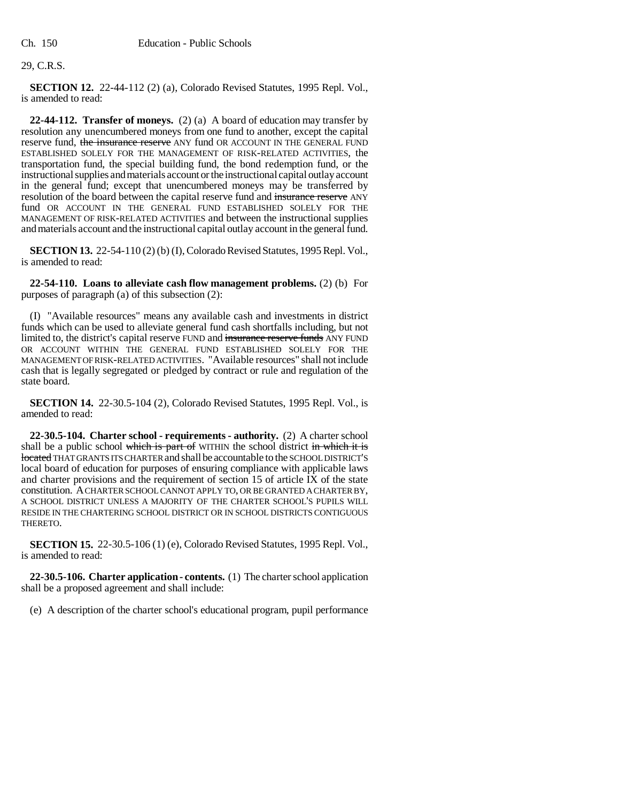#### 29, C.R.S.

**SECTION 12.** 22-44-112 (2) (a), Colorado Revised Statutes, 1995 Repl. Vol., is amended to read:

**22-44-112. Transfer of moneys.** (2) (a) A board of education may transfer by resolution any unencumbered moneys from one fund to another, except the capital reserve fund, the insurance reserve ANY fund OR ACCOUNT IN THE GENERAL FUND ESTABLISHED SOLELY FOR THE MANAGEMENT OF RISK-RELATED ACTIVITIES, the transportation fund, the special building fund, the bond redemption fund, or the instructional supplies and materials account or the instructional capital outlay account in the general fund; except that unencumbered moneys may be transferred by resolution of the board between the capital reserve fund and insurance reserve ANY fund OR ACCOUNT IN THE GENERAL FUND ESTABLISHED SOLELY FOR THE MANAGEMENT OF RISK-RELATED ACTIVITIES and between the instructional supplies and materials account and the instructional capital outlay account in the general fund.

**SECTION 13.** 22-54-110 (2) (b) (I), Colorado Revised Statutes, 1995 Repl. Vol., is amended to read:

**22-54-110. Loans to alleviate cash flow management problems.** (2) (b) For purposes of paragraph (a) of this subsection (2):

(I) "Available resources" means any available cash and investments in district funds which can be used to alleviate general fund cash shortfalls including, but not limited to, the district's capital reserve FUND and insurance reserve funds ANY FUND OR ACCOUNT WITHIN THE GENERAL FUND ESTABLISHED SOLELY FOR THE MANAGEMENT OF RISK-RELATED ACTIVITIES. "Available resources" shall not include cash that is legally segregated or pledged by contract or rule and regulation of the state board.

**SECTION 14.** 22-30.5-104 (2), Colorado Revised Statutes, 1995 Repl. Vol., is amended to read:

**22-30.5-104. Charter school - requirements - authority.** (2) A charter school shall be a public school which is part of WITHIN the school district in which it is located THAT GRANTS ITS CHARTER and shall be accountable to the SCHOOL DISTRICT'S local board of education for purposes of ensuring compliance with applicable laws and charter provisions and the requirement of section 15 of article  $\overline{IX}$  of the state constitution. A CHARTER SCHOOL CANNOT APPLY TO, OR BE GRANTED A CHARTER BY, A SCHOOL DISTRICT UNLESS A MAJORITY OF THE CHARTER SCHOOL'S PUPILS WILL RESIDE IN THE CHARTERING SCHOOL DISTRICT OR IN SCHOOL DISTRICTS CONTIGUOUS THERETO.

**SECTION 15.** 22-30.5-106 (1) (e), Colorado Revised Statutes, 1995 Repl. Vol., is amended to read:

**22-30.5-106. Charter application - contents.** (1) The charter school application shall be a proposed agreement and shall include:

(e) A description of the charter school's educational program, pupil performance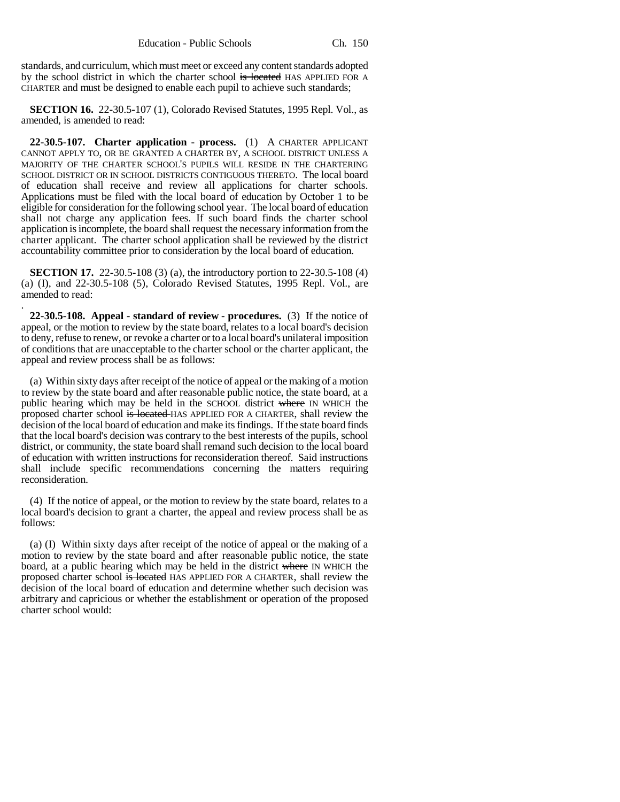standards, and curriculum, which must meet or exceed any content standards adopted by the school district in which the charter school is located HAS APPLIED FOR A CHARTER and must be designed to enable each pupil to achieve such standards;

**SECTION 16.** 22-30.5-107 (1), Colorado Revised Statutes, 1995 Repl. Vol., as amended, is amended to read:

**22-30.5-107. Charter application - process.** (1) A CHARTER APPLICANT CANNOT APPLY TO, OR BE GRANTED A CHARTER BY, A SCHOOL DISTRICT UNLESS A MAJORITY OF THE CHARTER SCHOOL'S PUPILS WILL RESIDE IN THE CHARTERING SCHOOL DISTRICT OR IN SCHOOL DISTRICTS CONTIGUOUS THERETO. The local board of education shall receive and review all applications for charter schools. Applications must be filed with the local board of education by October 1 to be eligible for consideration for the following school year. The local board of education shall not charge any application fees. If such board finds the charter school application is incomplete, the board shall request the necessary information from the charter applicant. The charter school application shall be reviewed by the district accountability committee prior to consideration by the local board of education.

**SECTION 17.** 22-30.5-108 (3) (a), the introductory portion to 22-30.5-108 (4) (a) (I), and 22-30.5-108 (5), Colorado Revised Statutes, 1995 Repl. Vol., are amended to read:

.

**22-30.5-108. Appeal - standard of review - procedures.** (3) If the notice of appeal, or the motion to review by the state board, relates to a local board's decision to deny, refuse to renew, or revoke a charter or to a local board's unilateral imposition of conditions that are unacceptable to the charter school or the charter applicant, the appeal and review process shall be as follows:

(a) Within sixty days after receipt of the notice of appeal or the making of a motion to review by the state board and after reasonable public notice, the state board, at a public hearing which may be held in the SCHOOL district where IN WHICH the proposed charter school is located HAS APPLIED FOR A CHARTER, shall review the decision of the local board of education and make its findings. If the state board finds that the local board's decision was contrary to the best interests of the pupils, school district, or community, the state board shall remand such decision to the local board of education with written instructions for reconsideration thereof. Said instructions shall include specific recommendations concerning the matters requiring reconsideration.

(4) If the notice of appeal, or the motion to review by the state board, relates to a local board's decision to grant a charter, the appeal and review process shall be as follows:

(a) (I) Within sixty days after receipt of the notice of appeal or the making of a motion to review by the state board and after reasonable public notice, the state board, at a public hearing which may be held in the district where IN WHICH the proposed charter school is located HAS APPLIED FOR A CHARTER, shall review the decision of the local board of education and determine whether such decision was arbitrary and capricious or whether the establishment or operation of the proposed charter school would: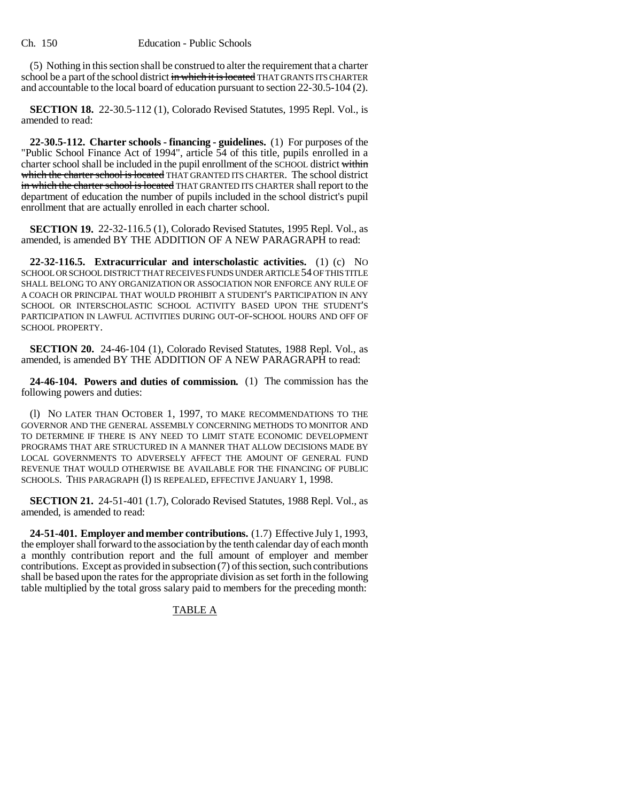(5) Nothing in this section shall be construed to alter the requirement that a charter school be a part of the school district in which it is located THAT GRANTS ITS CHARTER and accountable to the local board of education pursuant to section 22-30.5-104 (2).

**SECTION 18.** 22-30.5-112 (1), Colorado Revised Statutes, 1995 Repl. Vol., is amended to read:

**22-30.5-112. Charter schools - financing - guidelines.** (1) For purposes of the "Public School Finance Act of 1994", article 54 of this title, pupils enrolled in a charter school shall be included in the pupil enrollment of the SCHOOL district within which the charter school is located THAT GRANTED ITS CHARTER. The school district in which the charter school is located THAT GRANTED ITS CHARTER shall report to the department of education the number of pupils included in the school district's pupil enrollment that are actually enrolled in each charter school.

**SECTION 19.** 22-32-116.5 (1), Colorado Revised Statutes, 1995 Repl. Vol., as amended, is amended BY THE ADDITION OF A NEW PARAGRAPH to read:

**22-32-116.5. Extracurricular and interscholastic activities.** (1) (c) NO SCHOOL OR SCHOOL DISTRICT THAT RECEIVES FUNDS UNDER ARTICLE 54 OF THIS TITLE SHALL BELONG TO ANY ORGANIZATION OR ASSOCIATION NOR ENFORCE ANY RULE OF A COACH OR PRINCIPAL THAT WOULD PROHIBIT A STUDENT'S PARTICIPATION IN ANY SCHOOL OR INTERSCHOLASTIC SCHOOL ACTIVITY BASED UPON THE STUDENT'S PARTICIPATION IN LAWFUL ACTIVITIES DURING OUT-OF-SCHOOL HOURS AND OFF OF SCHOOL PROPERTY.

**SECTION 20.** 24-46-104 (1), Colorado Revised Statutes, 1988 Repl. Vol., as amended, is amended BY THE ADDITION OF A NEW PARAGRAPH to read:

**24-46-104. Powers and duties of commission.** (1) The commission has the following powers and duties:

(l) NO LATER THAN OCTOBER 1, 1997, TO MAKE RECOMMENDATIONS TO THE GOVERNOR AND THE GENERAL ASSEMBLY CONCERNING METHODS TO MONITOR AND TO DETERMINE IF THERE IS ANY NEED TO LIMIT STATE ECONOMIC DEVELOPMENT PROGRAMS THAT ARE STRUCTURED IN A MANNER THAT ALLOW DECISIONS MADE BY LOCAL GOVERNMENTS TO ADVERSELY AFFECT THE AMOUNT OF GENERAL FUND REVENUE THAT WOULD OTHERWISE BE AVAILABLE FOR THE FINANCING OF PUBLIC SCHOOLS. THIS PARAGRAPH (1) IS REPEALED, EFFECTIVE JANUARY 1, 1998.

**SECTION 21.** 24-51-401 (1.7), Colorado Revised Statutes, 1988 Repl. Vol., as amended, is amended to read:

**24-51-401. Employer and member contributions.** (1.7) Effective July 1, 1993, the employer shall forward to the association by the tenth calendar day of each month a monthly contribution report and the full amount of employer and member contributions. Except as provided in subsection (7) of this section, such contributions shall be based upon the rates for the appropriate division as set forth in the following table multiplied by the total gross salary paid to members for the preceding month:

### TABLE A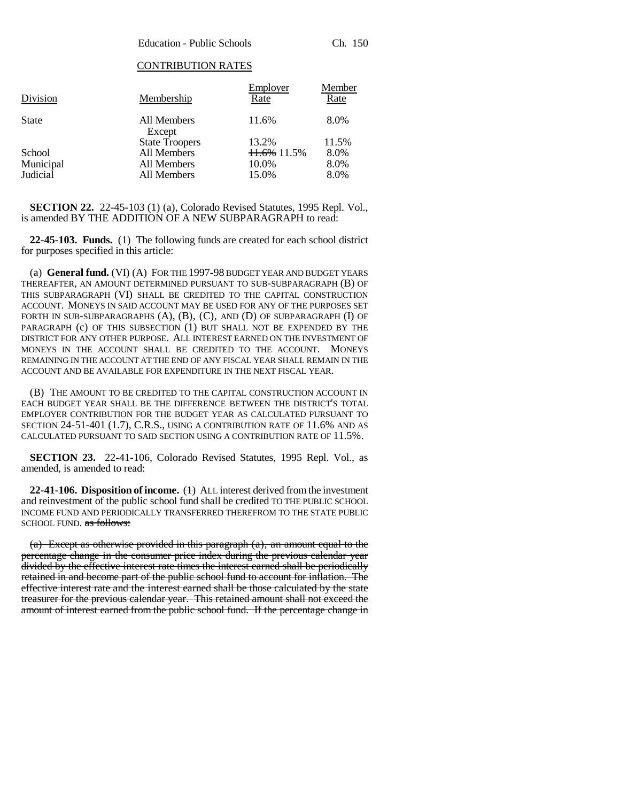### CONTRIBUTION RATES

| Division     | Membership            | Employer<br>Rate | Member<br>Rate |
|--------------|-----------------------|------------------|----------------|
| <b>State</b> | All Members<br>Except | 11.6%            | 8.0%           |
|              | <b>State Troopers</b> | 13.2%            | 11.5%          |
| School       | All Members           | 11.6% 11.5%      | 8.0%           |
| Municipal    | All Members           | 10.0%            | 8.0%           |
| Judicial     | All Members           | 15.0%            | 8.0%           |

**SECTION 22.** 22-45-103 (1) (a), Colorado Revised Statutes, 1995 Repl. Vol., is amended BY THE ADDITION OF A NEW SUBPARAGRAPH to read:

**22-45-103. Funds.** (1) The following funds are created for each school district for purposes specified in this article:

(a) **General fund.** (VI) (A) FOR THE 1997-98 BUDGET YEAR AND BUDGET YEARS THEREAFTER, AN AMOUNT DETERMINED PURSUANT TO SUB-SUBPARAGRAPH (B) OF THIS SUBPARAGRAPH (VI) SHALL BE CREDITED TO THE CAPITAL CONSTRUCTION ACCOUNT. MONEYS IN SAID ACCOUNT MAY BE USED FOR ANY OF THE PURPOSES SET FORTH IN SUB-SUBPARAGRAPHS (A), (B), (C), AND (D) OF SUBPARAGRAPH (I) OF PARAGRAPH (c) OF THIS SUBSECTION (1) BUT SHALL NOT BE EXPENDED BY THE DISTRICT FOR ANY OTHER PURPOSE. ALL INTEREST EARNED ON THE INVESTMENT OF MONEYS IN THE ACCOUNT SHALL BE CREDITED TO THE ACCOUNT. MONEYS REMAINING IN THE ACCOUNT AT THE END OF ANY FISCAL YEAR SHALL REMAIN IN THE ACCOUNT AND BE AVAILABLE FOR EXPENDITURE IN THE NEXT FISCAL YEAR.

(B) THE AMOUNT TO BE CREDITED TO THE CAPITAL CONSTRUCTION ACCOUNT IN EACH BUDGET YEAR SHALL BE THE DIFFERENCE BETWEEN THE DISTRICT'S TOTAL EMPLOYER CONTRIBUTION FOR THE BUDGET YEAR AS CALCULATED PURSUANT TO SECTION 24-51-401 (1.7), C.R.S., USING A CONTRIBUTION RATE OF 11.6% AND AS CALCULATED PURSUANT TO SAID SECTION USING A CONTRIBUTION RATE OF 11.5%.

**SECTION 23.** 22-41-106, Colorado Revised Statutes, 1995 Repl. Vol., as amended, is amended to read:

**22-41-106. Disposition of income.** (1) ALL interest derived from the investment and reinvestment of the public school fund shall be credited TO THE PUBLIC SCHOOL INCOME FUND AND PERIODICALLY TRANSFERRED THEREFROM TO THE STATE PUBLIC SCHOOL FUND. as follows:

(a) Except as otherwise provided in this paragraph (a), an amount equal to the percentage change in the consumer price index during the previous calendar year divided by the effective interest rate times the interest earned shall be periodically retained in and become part of the public school fund to account for inflation. The effective interest rate and the interest earned shall be those calculated by the state treasurer for the previous calendar year. This retained amount shall not exceed the amount of interest earned from the public school fund. If the percentage change in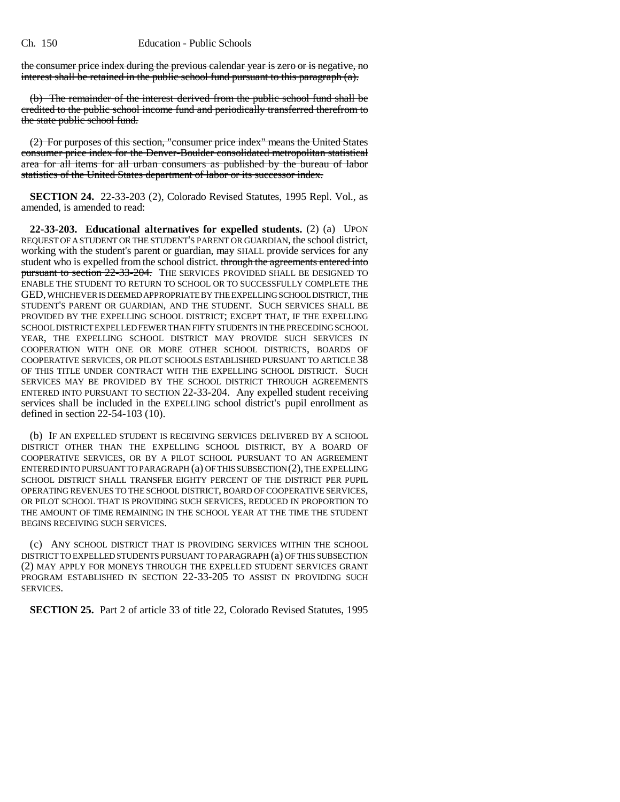the consumer price index during the previous calendar year is zero or is negative, no interest shall be retained in the public school fund pursuant to this paragraph (a).

(b) The remainder of the interest derived from the public school fund shall be credited to the public school income fund and periodically transferred therefrom to the state public school fund.

(2) For purposes of this section, "consumer price index" means the United States consumer price index for the Denver-Boulder consolidated metropolitan statistical area for all items for all urban consumers as published by the bureau of labor statistics of the United States department of labor or its successor index.

**SECTION 24.** 22-33-203 (2), Colorado Revised Statutes, 1995 Repl. Vol., as amended, is amended to read:

**22-33-203. Educational alternatives for expelled students.** (2) (a) UPON REQUEST OF A STUDENT OR THE STUDENT'S PARENT OR GUARDIAN, the school district, working with the student's parent or guardian,  $\frac{m}{w}$  SHALL provide services for any student who is expelled from the school district. through the agreements entered into pursuant to section  $22-33-204$ . THE SERVICES PROVIDED SHALL BE DESIGNED TO ENABLE THE STUDENT TO RETURN TO SCHOOL OR TO SUCCESSFULLY COMPLETE THE GED, WHICHEVER IS DEEMED APPROPRIATE BY THE EXPELLING SCHOOL DISTRICT, THE STUDENT'S PARENT OR GUARDIAN, AND THE STUDENT. SUCH SERVICES SHALL BE PROVIDED BY THE EXPELLING SCHOOL DISTRICT; EXCEPT THAT, IF THE EXPELLING SCHOOL DISTRICT EXPELLED FEWER THAN FIFTY STUDENTS IN THE PRECEDING SCHOOL YEAR, THE EXPELLING SCHOOL DISTRICT MAY PROVIDE SUCH SERVICES IN COOPERATION WITH ONE OR MORE OTHER SCHOOL DISTRICTS, BOARDS OF COOPERATIVE SERVICES, OR PILOT SCHOOLS ESTABLISHED PURSUANT TO ARTICLE 38 OF THIS TITLE UNDER CONTRACT WITH THE EXPELLING SCHOOL DISTRICT. SUCH SERVICES MAY BE PROVIDED BY THE SCHOOL DISTRICT THROUGH AGREEMENTS ENTERED INTO PURSUANT TO SECTION 22-33-204. Any expelled student receiving services shall be included in the EXPELLING school district's pupil enrollment as defined in section 22-54-103 (10).

(b) IF AN EXPELLED STUDENT IS RECEIVING SERVICES DELIVERED BY A SCHOOL DISTRICT OTHER THAN THE EXPELLING SCHOOL DISTRICT, BY A BOARD OF COOPERATIVE SERVICES, OR BY A PILOT SCHOOL PURSUANT TO AN AGREEMENT ENTERED INTO PURSUANT TO PARAGRAPH (a) OF THIS SUBSECTION (2), THE EXPELLING SCHOOL DISTRICT SHALL TRANSFER EIGHTY PERCENT OF THE DISTRICT PER PUPIL OPERATING REVENUES TO THE SCHOOL DISTRICT, BOARD OF COOPERATIVE SERVICES, OR PILOT SCHOOL THAT IS PROVIDING SUCH SERVICES, REDUCED IN PROPORTION TO THE AMOUNT OF TIME REMAINING IN THE SCHOOL YEAR AT THE TIME THE STUDENT BEGINS RECEIVING SUCH SERVICES.

(c) ANY SCHOOL DISTRICT THAT IS PROVIDING SERVICES WITHIN THE SCHOOL DISTRICT TO EXPELLED STUDENTS PURSUANT TO PARAGRAPH (a) OF THIS SUBSECTION (2) MAY APPLY FOR MONEYS THROUGH THE EXPELLED STUDENT SERVICES GRANT PROGRAM ESTABLISHED IN SECTION 22-33-205 TO ASSIST IN PROVIDING SUCH SERVICES.

**SECTION 25.** Part 2 of article 33 of title 22, Colorado Revised Statutes, 1995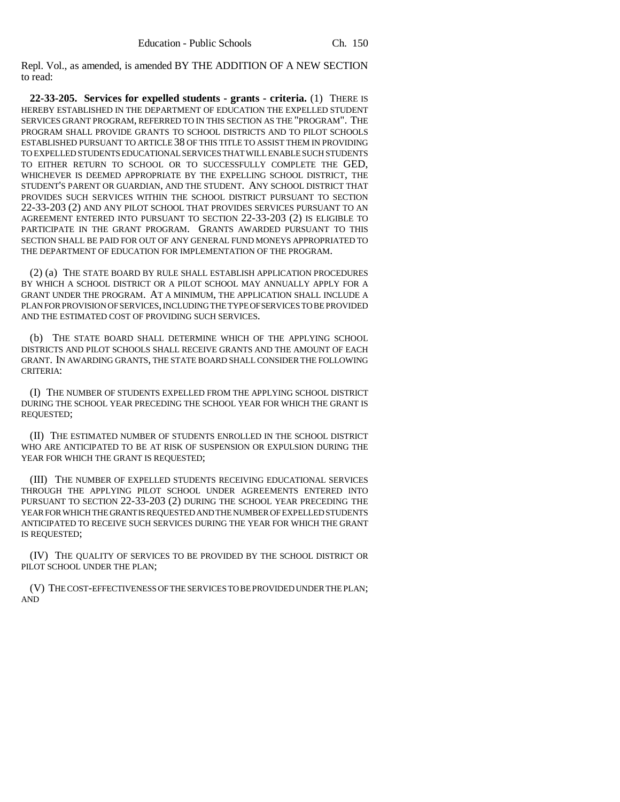Repl. Vol., as amended, is amended BY THE ADDITION OF A NEW SECTION to read:

**22-33-205. Services for expelled students - grants - criteria.** (1) THERE IS HEREBY ESTABLISHED IN THE DEPARTMENT OF EDUCATION THE EXPELLED STUDENT SERVICES GRANT PROGRAM, REFERRED TO IN THIS SECTION AS THE "PROGRAM". THE PROGRAM SHALL PROVIDE GRANTS TO SCHOOL DISTRICTS AND TO PILOT SCHOOLS ESTABLISHED PURSUANT TO ARTICLE 38 OF THIS TITLE TO ASSIST THEM IN PROVIDING TO EXPELLED STUDENTS EDUCATIONAL SERVICES THAT WILL ENABLE SUCH STUDENTS TO EITHER RETURN TO SCHOOL OR TO SUCCESSFULLY COMPLETE THE GED, WHICHEVER IS DEEMED APPROPRIATE BY THE EXPELLING SCHOOL DISTRICT, THE STUDENT'S PARENT OR GUARDIAN, AND THE STUDENT. ANY SCHOOL DISTRICT THAT PROVIDES SUCH SERVICES WITHIN THE SCHOOL DISTRICT PURSUANT TO SECTION 22-33-203 (2) AND ANY PILOT SCHOOL THAT PROVIDES SERVICES PURSUANT TO AN AGREEMENT ENTERED INTO PURSUANT TO SECTION 22-33-203 (2) IS ELIGIBLE TO PARTICIPATE IN THE GRANT PROGRAM. GRANTS AWARDED PURSUANT TO THIS SECTION SHALL BE PAID FOR OUT OF ANY GENERAL FUND MONEYS APPROPRIATED TO THE DEPARTMENT OF EDUCATION FOR IMPLEMENTATION OF THE PROGRAM.

(2) (a) THE STATE BOARD BY RULE SHALL ESTABLISH APPLICATION PROCEDURES BY WHICH A SCHOOL DISTRICT OR A PILOT SCHOOL MAY ANNUALLY APPLY FOR A GRANT UNDER THE PROGRAM. AT A MINIMUM, THE APPLICATION SHALL INCLUDE A PLAN FOR PROVISION OF SERVICES, INCLUDING THE TYPE OF SERVICES TO BE PROVIDED AND THE ESTIMATED COST OF PROVIDING SUCH SERVICES.

(b) THE STATE BOARD SHALL DETERMINE WHICH OF THE APPLYING SCHOOL DISTRICTS AND PILOT SCHOOLS SHALL RECEIVE GRANTS AND THE AMOUNT OF EACH GRANT. IN AWARDING GRANTS, THE STATE BOARD SHALL CONSIDER THE FOLLOWING CRITERIA:

(I) THE NUMBER OF STUDENTS EXPELLED FROM THE APPLYING SCHOOL DISTRICT DURING THE SCHOOL YEAR PRECEDING THE SCHOOL YEAR FOR WHICH THE GRANT IS REQUESTED;

(II) THE ESTIMATED NUMBER OF STUDENTS ENROLLED IN THE SCHOOL DISTRICT WHO ARE ANTICIPATED TO BE AT RISK OF SUSPENSION OR EXPULSION DURING THE YEAR FOR WHICH THE GRANT IS REQUESTED;

(III) THE NUMBER OF EXPELLED STUDENTS RECEIVING EDUCATIONAL SERVICES THROUGH THE APPLYING PILOT SCHOOL UNDER AGREEMENTS ENTERED INTO PURSUANT TO SECTION 22-33-203 (2) DURING THE SCHOOL YEAR PRECEDING THE YEAR FOR WHICH THE GRANT IS REQUESTED AND THE NUMBER OF EXPELLED STUDENTS ANTICIPATED TO RECEIVE SUCH SERVICES DURING THE YEAR FOR WHICH THE GRANT IS REQUESTED;

(IV) THE QUALITY OF SERVICES TO BE PROVIDED BY THE SCHOOL DISTRICT OR PILOT SCHOOL UNDER THE PLAN;

(V) THE COST-EFFECTIVENESS OF THE SERVICES TO BE PROVIDED UNDER THE PLAN; AND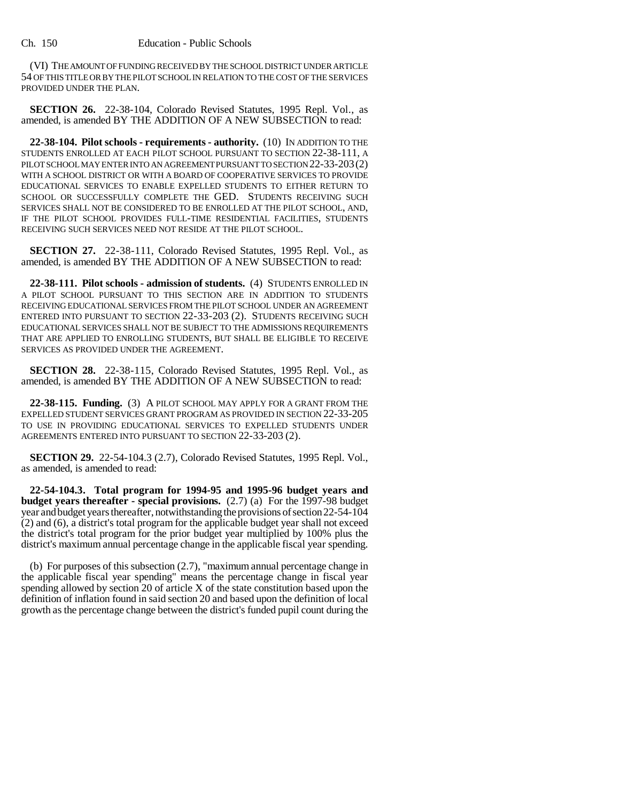(VI) THE AMOUNT OF FUNDING RECEIVED BY THE SCHOOL DISTRICT UNDER ARTICLE 54 OF THIS TITLE OR BY THE PILOT SCHOOL IN RELATION TO THE COST OF THE SERVICES PROVIDED UNDER THE PLAN.

**SECTION 26.** 22-38-104, Colorado Revised Statutes, 1995 Repl. Vol., as amended, is amended BY THE ADDITION OF A NEW SUBSECTION to read:

**22-38-104. Pilot schools - requirements - authority.** (10) IN ADDITION TO THE STUDENTS ENROLLED AT EACH PILOT SCHOOL PURSUANT TO SECTION 22-38-111, A PILOT SCHOOL MAY ENTER INTO AN AGREEMENT PURSUANT TO SECTION 22-33-203(2) WITH A SCHOOL DISTRICT OR WITH A BOARD OF COOPERATIVE SERVICES TO PROVIDE EDUCATIONAL SERVICES TO ENABLE EXPELLED STUDENTS TO EITHER RETURN TO SCHOOL OR SUCCESSFULLY COMPLETE THE GED. STUDENTS RECEIVING SUCH SERVICES SHALL NOT BE CONSIDERED TO BE ENROLLED AT THE PILOT SCHOOL, AND, IF THE PILOT SCHOOL PROVIDES FULL-TIME RESIDENTIAL FACILITIES, STUDENTS RECEIVING SUCH SERVICES NEED NOT RESIDE AT THE PILOT SCHOOL.

**SECTION 27.** 22-38-111, Colorado Revised Statutes, 1995 Repl. Vol., as amended, is amended BY THE ADDITION OF A NEW SUBSECTION to read:

**22-38-111. Pilot schools - admission of students.** (4) STUDENTS ENROLLED IN A PILOT SCHOOL PURSUANT TO THIS SECTION ARE IN ADDITION TO STUDENTS RECEIVING EDUCATIONAL SERVICES FROM THE PILOT SCHOOL UNDER AN AGREEMENT ENTERED INTO PURSUANT TO SECTION 22-33-203 (2). STUDENTS RECEIVING SUCH EDUCATIONAL SERVICES SHALL NOT BE SUBJECT TO THE ADMISSIONS REQUIREMENTS THAT ARE APPLIED TO ENROLLING STUDENTS, BUT SHALL BE ELIGIBLE TO RECEIVE SERVICES AS PROVIDED UNDER THE AGREEMENT.

**SECTION 28.** 22-38-115, Colorado Revised Statutes, 1995 Repl. Vol., as amended, is amended BY THE ADDITION OF A NEW SUBSECTION to read:

**22-38-115. Funding.** (3) A PILOT SCHOOL MAY APPLY FOR A GRANT FROM THE EXPELLED STUDENT SERVICES GRANT PROGRAM AS PROVIDED IN SECTION 22-33-205 TO USE IN PROVIDING EDUCATIONAL SERVICES TO EXPELLED STUDENTS UNDER AGREEMENTS ENTERED INTO PURSUANT TO SECTION 22-33-203 (2).

**SECTION 29.** 22-54-104.3 (2.7), Colorado Revised Statutes, 1995 Repl. Vol., as amended, is amended to read:

**22-54-104.3. Total program for 1994-95 and 1995-96 budget years and budget years thereafter - special provisions.** (2.7) (a) For the 1997-98 budget year and budget years thereafter, notwithstanding the provisions of section 22-54-104 (2) and (6), a district's total program for the applicable budget year shall not exceed the district's total program for the prior budget year multiplied by 100% plus the district's maximum annual percentage change in the applicable fiscal year spending.

(b) For purposes of this subsection (2.7), "maximum annual percentage change in the applicable fiscal year spending" means the percentage change in fiscal year spending allowed by section 20 of article X of the state constitution based upon the definition of inflation found in said section 20 and based upon the definition of local growth as the percentage change between the district's funded pupil count during the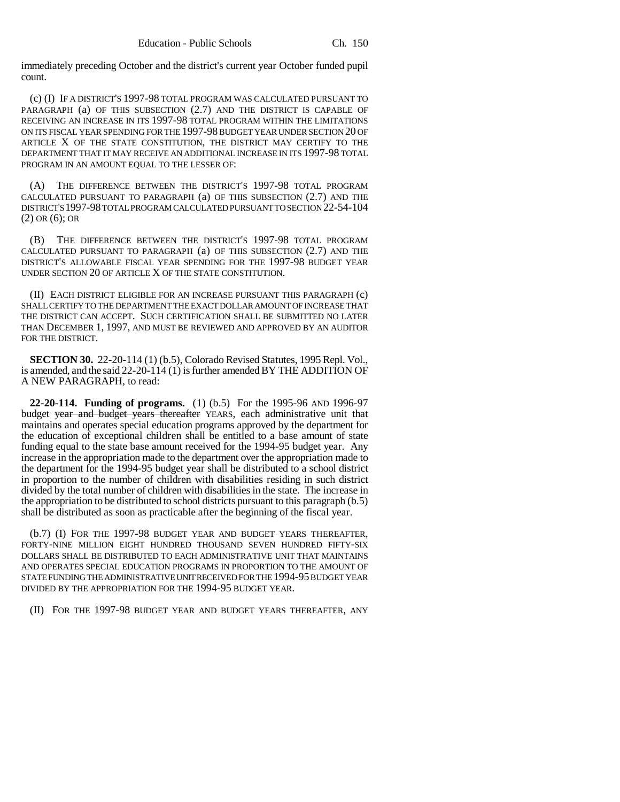immediately preceding October and the district's current year October funded pupil count.

(c) (I) IF A DISTRICT'S 1997-98 TOTAL PROGRAM WAS CALCULATED PURSUANT TO PARAGRAPH (a) OF THIS SUBSECTION (2.7) AND THE DISTRICT IS CAPABLE OF RECEIVING AN INCREASE IN ITS 1997-98 TOTAL PROGRAM WITHIN THE LIMITATIONS ON ITS FISCAL YEAR SPENDING FOR THE 1997-98 BUDGET YEAR UNDER SECTION 20 OF ARTICLE X OF THE STATE CONSTITUTION, THE DISTRICT MAY CERTIFY TO THE DEPARTMENT THAT IT MAY RECEIVE AN ADDITIONAL INCREASE IN ITS 1997-98 TOTAL PROGRAM IN AN AMOUNT EQUAL TO THE LESSER OF:

(A) THE DIFFERENCE BETWEEN THE DISTRICT'S 1997-98 TOTAL PROGRAM CALCULATED PURSUANT TO PARAGRAPH (a) OF THIS SUBSECTION (2.7) AND THE DISTRICT'S 1997-98 TOTAL PROGRAM CALCULATED PURSUANT TO SECTION 22-54-104 (2) OR (6); OR

(B) THE DIFFERENCE BETWEEN THE DISTRICT'S 1997-98 TOTAL PROGRAM CALCULATED PURSUANT TO PARAGRAPH (a) OF THIS SUBSECTION (2.7) AND THE DISTRICT'S ALLOWABLE FISCAL YEAR SPENDING FOR THE 1997-98 BUDGET YEAR UNDER SECTION 20 OF ARTICLE X OF THE STATE CONSTITUTION.

(II) EACH DISTRICT ELIGIBLE FOR AN INCREASE PURSUANT THIS PARAGRAPH (c) SHALL CERTIFY TO THE DEPARTMENT THE EXACT DOLLAR AMOUNT OF INCREASE THAT THE DISTRICT CAN ACCEPT. SUCH CERTIFICATION SHALL BE SUBMITTED NO LATER THAN DECEMBER 1, 1997, AND MUST BE REVIEWED AND APPROVED BY AN AUDITOR FOR THE DISTRICT.

**SECTION 30.** 22-20-114 (1) (b.5), Colorado Revised Statutes, 1995 Repl. Vol., is amended, and the said 22-20-114 (1) is further amended BY THE ADDITION OF A NEW PARAGRAPH, to read:

**22-20-114. Funding of programs.** (1) (b.5) For the 1995-96 AND 1996-97 budget year and budget years thereafter YEARS, each administrative unit that maintains and operates special education programs approved by the department for the education of exceptional children shall be entitled to a base amount of state funding equal to the state base amount received for the 1994-95 budget year. Any increase in the appropriation made to the department over the appropriation made to the department for the 1994-95 budget year shall be distributed to a school district in proportion to the number of children with disabilities residing in such district divided by the total number of children with disabilities in the state. The increase in the appropriation to be distributed to school districts pursuant to this paragraph (b.5) shall be distributed as soon as practicable after the beginning of the fiscal year.

(b.7) (I) FOR THE 1997-98 BUDGET YEAR AND BUDGET YEARS THEREAFTER, FORTY-NINE MILLION EIGHT HUNDRED THOUSAND SEVEN HUNDRED FIFTY-SIX DOLLARS SHALL BE DISTRIBUTED TO EACH ADMINISTRATIVE UNIT THAT MAINTAINS AND OPERATES SPECIAL EDUCATION PROGRAMS IN PROPORTION TO THE AMOUNT OF STATE FUNDING THE ADMINISTRATIVE UNIT RECEIVED FOR THE 1994-95 BUDGET YEAR DIVIDED BY THE APPROPRIATION FOR THE 1994-95 BUDGET YEAR.

(II) FOR THE 1997-98 BUDGET YEAR AND BUDGET YEARS THEREAFTER, ANY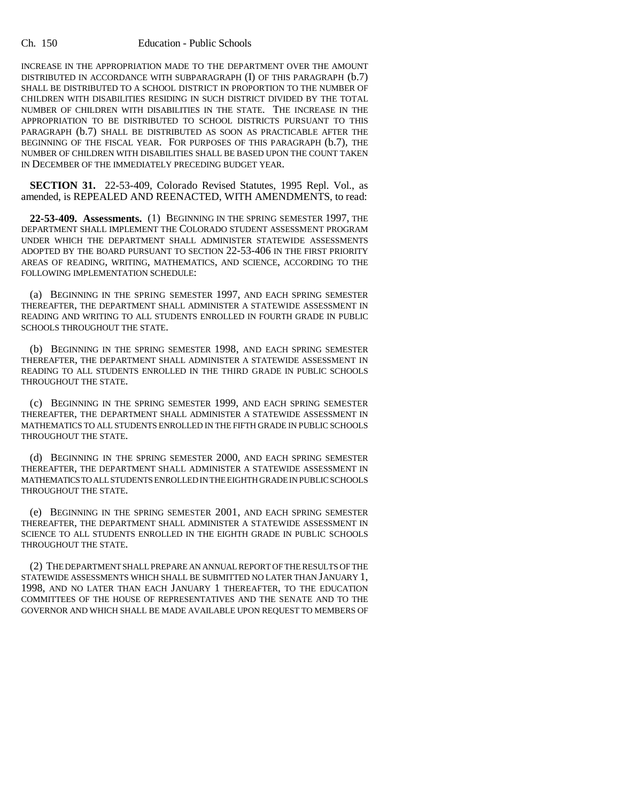#### Ch. 150 Education - Public Schools

INCREASE IN THE APPROPRIATION MADE TO THE DEPARTMENT OVER THE AMOUNT DISTRIBUTED IN ACCORDANCE WITH SUBPARAGRAPH (I) OF THIS PARAGRAPH (b.7) SHALL BE DISTRIBUTED TO A SCHOOL DISTRICT IN PROPORTION TO THE NUMBER OF CHILDREN WITH DISABILITIES RESIDING IN SUCH DISTRICT DIVIDED BY THE TOTAL NUMBER OF CHILDREN WITH DISABILITIES IN THE STATE. THE INCREASE IN THE APPROPRIATION TO BE DISTRIBUTED TO SCHOOL DISTRICTS PURSUANT TO THIS PARAGRAPH (b.7) SHALL BE DISTRIBUTED AS SOON AS PRACTICABLE AFTER THE BEGINNING OF THE FISCAL YEAR. FOR PURPOSES OF THIS PARAGRAPH (b.7), THE NUMBER OF CHILDREN WITH DISABILITIES SHALL BE BASED UPON THE COUNT TAKEN IN DECEMBER OF THE IMMEDIATELY PRECEDING BUDGET YEAR.

**SECTION 31.** 22-53-409, Colorado Revised Statutes, 1995 Repl. Vol., as amended, is REPEALED AND REENACTED, WITH AMENDMENTS, to read:

**22-53-409. Assessments.** (1) BEGINNING IN THE SPRING SEMESTER 1997, THE DEPARTMENT SHALL IMPLEMENT THE COLORADO STUDENT ASSESSMENT PROGRAM UNDER WHICH THE DEPARTMENT SHALL ADMINISTER STATEWIDE ASSESSMENTS ADOPTED BY THE BOARD PURSUANT TO SECTION 22-53-406 IN THE FIRST PRIORITY AREAS OF READING, WRITING, MATHEMATICS, AND SCIENCE, ACCORDING TO THE FOLLOWING IMPLEMENTATION SCHEDULE:

(a) BEGINNING IN THE SPRING SEMESTER 1997, AND EACH SPRING SEMESTER THEREAFTER, THE DEPARTMENT SHALL ADMINISTER A STATEWIDE ASSESSMENT IN READING AND WRITING TO ALL STUDENTS ENROLLED IN FOURTH GRADE IN PUBLIC SCHOOLS THROUGHOUT THE STATE.

(b) BEGINNING IN THE SPRING SEMESTER 1998, AND EACH SPRING SEMESTER THEREAFTER, THE DEPARTMENT SHALL ADMINISTER A STATEWIDE ASSESSMENT IN READING TO ALL STUDENTS ENROLLED IN THE THIRD GRADE IN PUBLIC SCHOOLS THROUGHOUT THE STATE.

(c) BEGINNING IN THE SPRING SEMESTER 1999, AND EACH SPRING SEMESTER THEREAFTER, THE DEPARTMENT SHALL ADMINISTER A STATEWIDE ASSESSMENT IN MATHEMATICS TO ALL STUDENTS ENROLLED IN THE FIFTH GRADE IN PUBLIC SCHOOLS THROUGHOUT THE STATE.

(d) BEGINNING IN THE SPRING SEMESTER 2000, AND EACH SPRING SEMESTER THEREAFTER, THE DEPARTMENT SHALL ADMINISTER A STATEWIDE ASSESSMENT IN MATHEMATICS TO ALL STUDENTS ENROLLED IN THE EIGHTH GRADE IN PUBLIC SCHOOLS THROUGHOUT THE STATE.

(e) BEGINNING IN THE SPRING SEMESTER 2001, AND EACH SPRING SEMESTER THEREAFTER, THE DEPARTMENT SHALL ADMINISTER A STATEWIDE ASSESSMENT IN SCIENCE TO ALL STUDENTS ENROLLED IN THE EIGHTH GRADE IN PUBLIC SCHOOLS THROUGHOUT THE STATE.

(2) THE DEPARTMENT SHALL PREPARE AN ANNUAL REPORT OF THE RESULTS OF THE STATEWIDE ASSESSMENTS WHICH SHALL BE SUBMITTED NO LATER THAN JANUARY 1, 1998, AND NO LATER THAN EACH JANUARY 1 THEREAFTER, TO THE EDUCATION COMMITTEES OF THE HOUSE OF REPRESENTATIVES AND THE SENATE AND TO THE GOVERNOR AND WHICH SHALL BE MADE AVAILABLE UPON REQUEST TO MEMBERS OF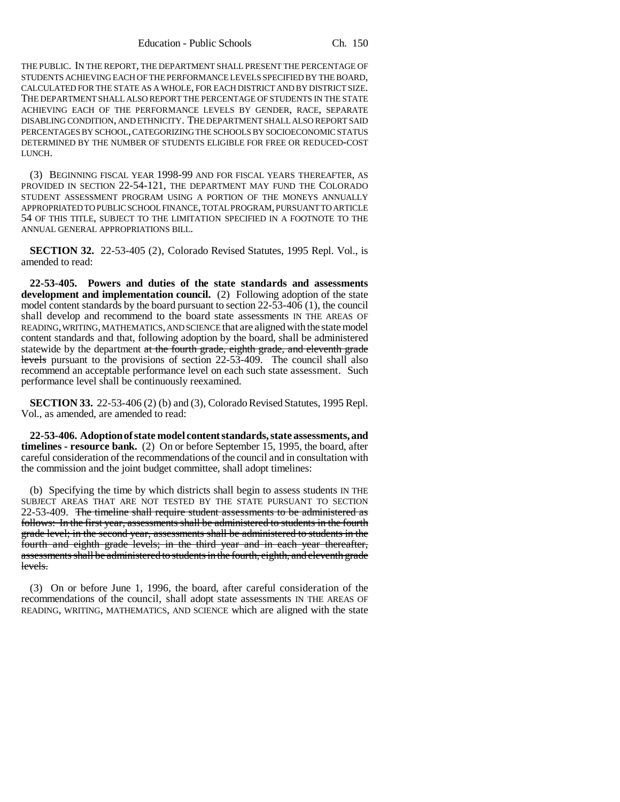THE PUBLIC. IN THE REPORT, THE DEPARTMENT SHALL PRESENT THE PERCENTAGE OF STUDENTS ACHIEVING EACH OF THE PERFORMANCE LEVELS SPECIFIED BY THE BOARD, CALCULATED FOR THE STATE AS A WHOLE, FOR EACH DISTRICT AND BY DISTRICT SIZE. THE DEPARTMENT SHALL ALSO REPORT THE PERCENTAGE OF STUDENTS IN THE STATE ACHIEVING EACH OF THE PERFORMANCE LEVELS BY GENDER, RACE, SEPARATE DISABLING CONDITION, AND ETHNICITY. THE DEPARTMENT SHALL ALSO REPORT SAID PERCENTAGES BY SCHOOL, CATEGORIZING THE SCHOOLS BY SOCIOECONOMIC STATUS DETERMINED BY THE NUMBER OF STUDENTS ELIGIBLE FOR FREE OR REDUCED-COST LUNCH.

(3) BEGINNING FISCAL YEAR 1998-99 AND FOR FISCAL YEARS THEREAFTER, AS PROVIDED IN SECTION 22-54-121, THE DEPARTMENT MAY FUND THE COLORADO STUDENT ASSESSMENT PROGRAM USING A PORTION OF THE MONEYS ANNUALLY APPROPRIATED TO PUBLIC SCHOOL FINANCE, TOTAL PROGRAM, PURSUANT TO ARTICLE 54 OF THIS TITLE, SUBJECT TO THE LIMITATION SPECIFIED IN A FOOTNOTE TO THE ANNUAL GENERAL APPROPRIATIONS BILL.

**SECTION 32.** 22-53-405 (2), Colorado Revised Statutes, 1995 Repl. Vol., is amended to read:

**22-53-405. Powers and duties of the state standards and assessments development and implementation council.** (2) Following adoption of the state model content standards by the board pursuant to section 22-53-406 (1), the council shall develop and recommend to the board state assessments IN THE AREAS OF READING, WRITING, MATHEMATICS, AND SCIENCE that are aligned with the state model content standards and that, following adoption by the board, shall be administered statewide by the department at the fourth grade, eighth grade, and eleventh grade levels pursuant to the provisions of section 22-53-409. The council shall also recommend an acceptable performance level on each such state assessment. Such performance level shall be continuously reexamined.

**SECTION 33.** 22-53-406 (2) (b) and (3), Colorado Revised Statutes, 1995 Repl. Vol., as amended, are amended to read:

**22-53-406. Adoption of state model content standards, state assessments, and timelines - resource bank.** (2) On or before September 15, 1995, the board, after careful consideration of the recommendations of the council and in consultation with the commission and the joint budget committee, shall adopt timelines:

(b) Specifying the time by which districts shall begin to assess students IN THE SUBJECT AREAS THAT ARE NOT TESTED BY THE STATE PURSUANT TO SECTION 22-53-409. The timeline shall require student assessments to be administered as follows: In the first year, assessments shall be administered to students in the fourth grade level; in the second year, assessments shall be administered to students in the fourth and eighth grade levels; in the third year and in each year thereafter, assessments shall be administered to students in the fourth, eighth, and eleventh grade levels.

(3) On or before June 1, 1996, the board, after careful consideration of the recommendations of the council, shall adopt state assessments IN THE AREAS OF READING, WRITING, MATHEMATICS, AND SCIENCE which are aligned with the state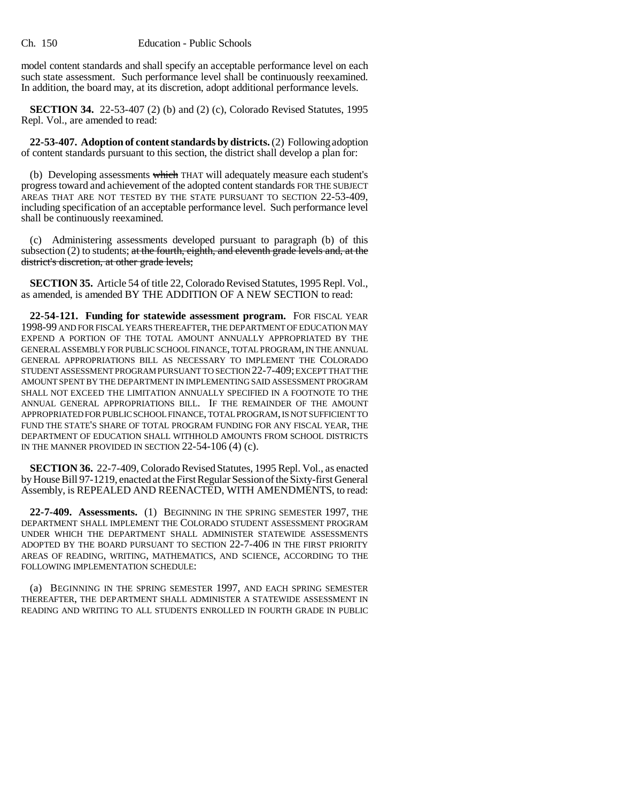model content standards and shall specify an acceptable performance level on each such state assessment. Such performance level shall be continuously reexamined. In addition, the board may, at its discretion, adopt additional performance levels.

**SECTION 34.** 22-53-407 (2) (b) and (2) (c), Colorado Revised Statutes, 1995 Repl. Vol., are amended to read:

**22-53-407. Adoption of content standards by districts.** (2) Following adoption of content standards pursuant to this section, the district shall develop a plan for:

(b) Developing assessments which THAT will adequately measure each student's progress toward and achievement of the adopted content standards FOR THE SUBJECT AREAS THAT ARE NOT TESTED BY THE STATE PURSUANT TO SECTION 22-53-409, including specification of an acceptable performance level. Such performance level shall be continuously reexamined.

(c) Administering assessments developed pursuant to paragraph (b) of this subsection  $(2)$  to students; at the fourth, eighth, and eleventh grade levels and, at the district's discretion, at other grade levels;

**SECTION 35.** Article 54 of title 22, Colorado Revised Statutes, 1995 Repl. Vol., as amended, is amended BY THE ADDITION OF A NEW SECTION to read:

**22-54-121. Funding for statewide assessment program.** FOR FISCAL YEAR 1998-99 AND FOR FISCAL YEARS THEREAFTER, THE DEPARTMENT OF EDUCATION MAY EXPEND A PORTION OF THE TOTAL AMOUNT ANNUALLY APPROPRIATED BY THE GENERAL ASSEMBLY FOR PUBLIC SCHOOL FINANCE, TOTAL PROGRAM, IN THE ANNUAL GENERAL APPROPRIATIONS BILL AS NECESSARY TO IMPLEMENT THE COLORADO STUDENT ASSESSMENT PROGRAM PURSUANT TO SECTION 22-7-409; EXCEPT THAT THE AMOUNT SPENT BY THE DEPARTMENT IN IMPLEMENTING SAID ASSESSMENT PROGRAM SHALL NOT EXCEED THE LIMITATION ANNUALLY SPECIFIED IN A FOOTNOTE TO THE ANNUAL GENERAL APPROPRIATIONS BILL. IF THE REMAINDER OF THE AMOUNT APPROPRIATED FOR PUBLIC SCHOOL FINANCE, TOTAL PROGRAM, IS NOT SUFFICIENT TO FUND THE STATE'S SHARE OF TOTAL PROGRAM FUNDING FOR ANY FISCAL YEAR, THE DEPARTMENT OF EDUCATION SHALL WITHHOLD AMOUNTS FROM SCHOOL DISTRICTS IN THE MANNER PROVIDED IN SECTION 22-54-106 (4) (c).

**SECTION 36.** 22-7-409, Colorado Revised Statutes, 1995 Repl. Vol., as enacted by House Bill 97-1219, enacted at the First Regular Session of the Sixty-first General Assembly, is REPEALED AND REENACTED, WITH AMENDMENTS, to read:

**22-7-409. Assessments.** (1) BEGINNING IN THE SPRING SEMESTER 1997, THE DEPARTMENT SHALL IMPLEMENT THE COLORADO STUDENT ASSESSMENT PROGRAM UNDER WHICH THE DEPARTMENT SHALL ADMINISTER STATEWIDE ASSESSMENTS ADOPTED BY THE BOARD PURSUANT TO SECTION 22-7-406 IN THE FIRST PRIORITY AREAS OF READING, WRITING, MATHEMATICS, AND SCIENCE, ACCORDING TO THE FOLLOWING IMPLEMENTATION SCHEDULE:

(a) BEGINNING IN THE SPRING SEMESTER 1997, AND EACH SPRING SEMESTER THEREAFTER, THE DEPARTMENT SHALL ADMINISTER A STATEWIDE ASSESSMENT IN READING AND WRITING TO ALL STUDENTS ENROLLED IN FOURTH GRADE IN PUBLIC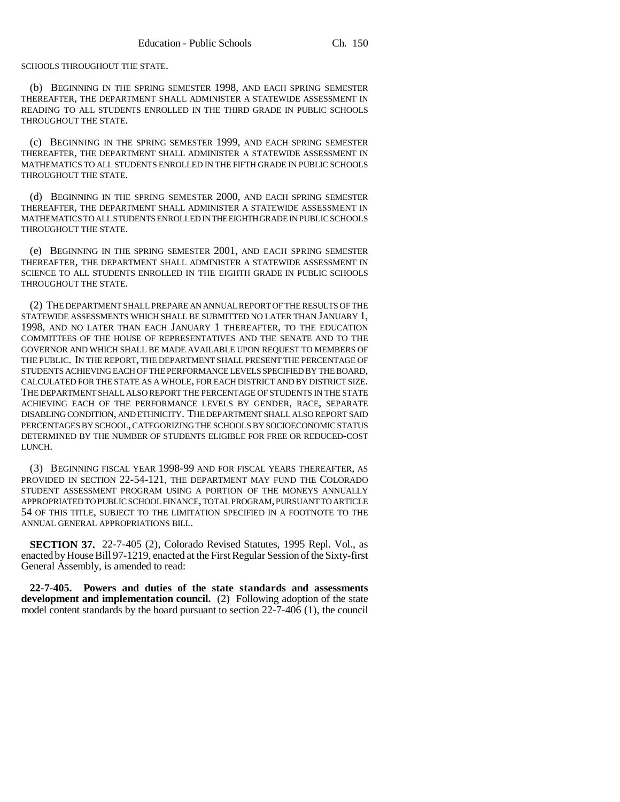SCHOOLS THROUGHOUT THE STATE.

(b) BEGINNING IN THE SPRING SEMESTER 1998, AND EACH SPRING SEMESTER THEREAFTER, THE DEPARTMENT SHALL ADMINISTER A STATEWIDE ASSESSMENT IN READING TO ALL STUDENTS ENROLLED IN THE THIRD GRADE IN PUBLIC SCHOOLS THROUGHOUT THE STATE.

(c) BEGINNING IN THE SPRING SEMESTER 1999, AND EACH SPRING SEMESTER THEREAFTER, THE DEPARTMENT SHALL ADMINISTER A STATEWIDE ASSESSMENT IN MATHEMATICS TO ALL STUDENTS ENROLLED IN THE FIFTH GRADE IN PUBLIC SCHOOLS THROUGHOUT THE STATE.

(d) BEGINNING IN THE SPRING SEMESTER 2000, AND EACH SPRING SEMESTER THEREAFTER, THE DEPARTMENT SHALL ADMINISTER A STATEWIDE ASSESSMENT IN MATHEMATICS TO ALL STUDENTS ENROLLED IN THE EIGHTH GRADE IN PUBLIC SCHOOLS THROUGHOUT THE STATE.

(e) BEGINNING IN THE SPRING SEMESTER 2001, AND EACH SPRING SEMESTER THEREAFTER, THE DEPARTMENT SHALL ADMINISTER A STATEWIDE ASSESSMENT IN SCIENCE TO ALL STUDENTS ENROLLED IN THE EIGHTH GRADE IN PUBLIC SCHOOLS THROUGHOUT THE STATE.

(2) THE DEPARTMENT SHALL PREPARE AN ANNUAL REPORT OF THE RESULTS OF THE STATEWIDE ASSESSMENTS WHICH SHALL BE SUBMITTED NO LATER THAN JANUARY 1, 1998, AND NO LATER THAN EACH JANUARY 1 THEREAFTER, TO THE EDUCATION COMMITTEES OF THE HOUSE OF REPRESENTATIVES AND THE SENATE AND TO THE GOVERNOR AND WHICH SHALL BE MADE AVAILABLE UPON REQUEST TO MEMBERS OF THE PUBLIC. IN THE REPORT, THE DEPARTMENT SHALL PRESENT THE PERCENTAGE OF STUDENTS ACHIEVING EACH OF THE PERFORMANCE LEVELS SPECIFIED BY THE BOARD, CALCULATED FOR THE STATE AS A WHOLE, FOR EACH DISTRICT AND BY DISTRICT SIZE. THE DEPARTMENT SHALL ALSO REPORT THE PERCENTAGE OF STUDENTS IN THE STATE ACHIEVING EACH OF THE PERFORMANCE LEVELS BY GENDER, RACE, SEPARATE DISABLING CONDITION, AND ETHNICITY. THE DEPARTMENT SHALL ALSO REPORT SAID PERCENTAGES BY SCHOOL, CATEGORIZING THE SCHOOLS BY SOCIOECONOMIC STATUS DETERMINED BY THE NUMBER OF STUDENTS ELIGIBLE FOR FREE OR REDUCED-COST LUNCH.

(3) BEGINNING FISCAL YEAR 1998-99 AND FOR FISCAL YEARS THEREAFTER, AS PROVIDED IN SECTION 22-54-121, THE DEPARTMENT MAY FUND THE COLORADO STUDENT ASSESSMENT PROGRAM USING A PORTION OF THE MONEYS ANNUALLY APPROPRIATED TO PUBLIC SCHOOL FINANCE, TOTAL PROGRAM, PURSUANT TO ARTICLE 54 OF THIS TITLE, SUBJECT TO THE LIMITATION SPECIFIED IN A FOOTNOTE TO THE ANNUAL GENERAL APPROPRIATIONS BILL.

**SECTION 37.** 22-7-405 (2), Colorado Revised Statutes, 1995 Repl. Vol., as enacted by House Bill 97-1219, enacted at the First Regular Session of the Sixty-first General Assembly, is amended to read:

**22-7-405. Powers and duties of the state standards and assessments development and implementation council.** (2) Following adoption of the state model content standards by the board pursuant to section 22-7-406 (1), the council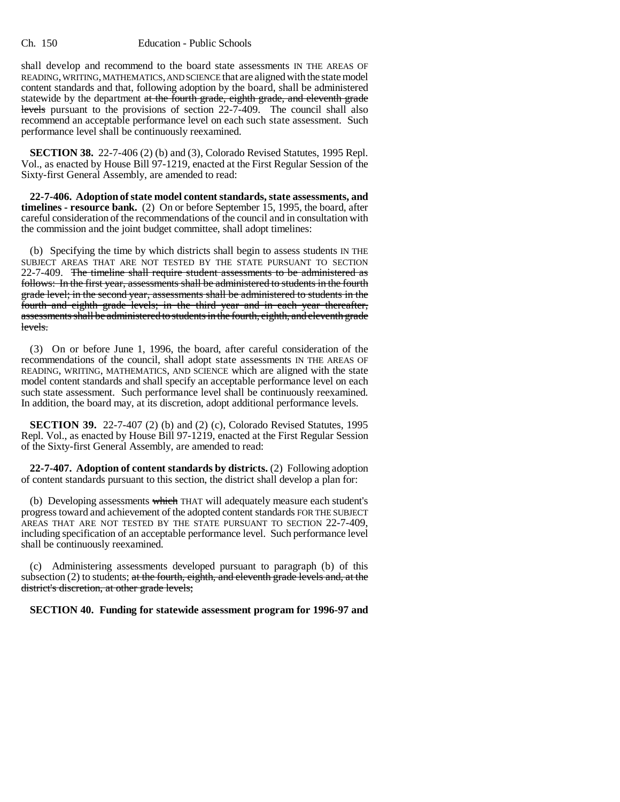shall develop and recommend to the board state assessments IN THE AREAS OF READING, WRITING, MATHEMATICS, AND SCIENCE that are aligned with the state model content standards and that, following adoption by the board, shall be administered statewide by the department at the fourth grade, eighth grade, and eleventh grade levels pursuant to the provisions of section 22-7-409. The council shall also recommend an acceptable performance level on each such state assessment. Such performance level shall be continuously reexamined.

**SECTION 38.** 22-7-406 (2) (b) and (3), Colorado Revised Statutes, 1995 Repl. Vol., as enacted by House Bill 97-1219, enacted at the First Regular Session of the Sixty-first General Assembly, are amended to read:

**22-7-406. Adoption of state model content standards, state assessments, and timelines - resource bank.** (2) On or before September 15, 1995, the board, after careful consideration of the recommendations of the council and in consultation with the commission and the joint budget committee, shall adopt timelines:

(b) Specifying the time by which districts shall begin to assess students IN THE SUBJECT AREAS THAT ARE NOT TESTED BY THE STATE PURSUANT TO SECTION 22-7-409. The timeline shall require student assessments to be administered as follows: In the first year, assessments shall be administered to students in the fourth grade level; in the second year, assessments shall be administered to students in the fourth and eighth grade levels; in the third year and in each year thereafter, assessments shall be administered to students in the fourth, eighth, and eleventh grade levels.

(3) On or before June 1, 1996, the board, after careful consideration of the recommendations of the council, shall adopt state assessments IN THE AREAS OF READING, WRITING, MATHEMATICS, AND SCIENCE which are aligned with the state model content standards and shall specify an acceptable performance level on each such state assessment. Such performance level shall be continuously reexamined. In addition, the board may, at its discretion, adopt additional performance levels.

**SECTION 39.** 22-7-407 (2) (b) and (2) (c), Colorado Revised Statutes, 1995 Repl. Vol., as enacted by House Bill 97-1219, enacted at the First Regular Session of the Sixty-first General Assembly, are amended to read:

**22-7-407. Adoption of content standards by districts.** (2) Following adoption of content standards pursuant to this section, the district shall develop a plan for:

(b) Developing assessments which THAT will adequately measure each student's progress toward and achievement of the adopted content standards FOR THE SUBJECT AREAS THAT ARE NOT TESTED BY THE STATE PURSUANT TO SECTION 22-7-409, including specification of an acceptable performance level. Such performance level shall be continuously reexamined.

(c) Administering assessments developed pursuant to paragraph (b) of this subsection  $(2)$  to students; at the fourth, eighth, and eleventh grade levels and, at the district's discretion, at other grade levels;

**SECTION 40. Funding for statewide assessment program for 1996-97 and**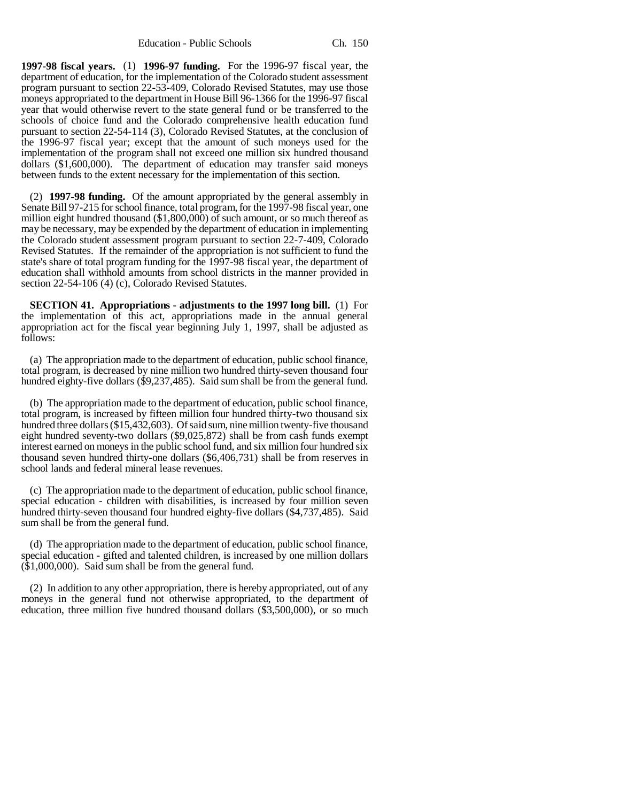Education - Public Schools Ch. 150

**1997-98 fiscal years.** (1) **1996-97 funding.** For the 1996-97 fiscal year, the department of education, for the implementation of the Colorado student assessment program pursuant to section 22-53-409, Colorado Revised Statutes, may use those moneys appropriated to the department in House Bill 96-1366 for the 1996-97 fiscal year that would otherwise revert to the state general fund or be transferred to the schools of choice fund and the Colorado comprehensive health education fund pursuant to section 22-54-114 (3), Colorado Revised Statutes, at the conclusion of the 1996-97 fiscal year; except that the amount of such moneys used for the implementation of the program shall not exceed one million six hundred thousand dollars (\$1,600,000). The department of education may transfer said moneys between funds to the extent necessary for the implementation of this section.

(2) **1997-98 funding.** Of the amount appropriated by the general assembly in Senate Bill 97-215 for school finance, total program, for the 1997-98 fiscal year, one million eight hundred thousand (\$1,800,000) of such amount, or so much thereof as may be necessary, may be expended by the department of education in implementing the Colorado student assessment program pursuant to section 22-7-409, Colorado Revised Statutes. If the remainder of the appropriation is not sufficient to fund the state's share of total program funding for the 1997-98 fiscal year, the department of education shall withhold amounts from school districts in the manner provided in section 22-54-106 (4) (c), Colorado Revised Statutes.

**SECTION 41. Appropriations - adjustments to the 1997 long bill.** (1) For the implementation of this act, appropriations made in the annual general appropriation act for the fiscal year beginning July 1, 1997, shall be adjusted as follows:

(a) The appropriation made to the department of education, public school finance, total program, is decreased by nine million two hundred thirty-seven thousand four hundred eighty-five dollars (\$9,237,485). Said sum shall be from the general fund.

(b) The appropriation made to the department of education, public school finance, total program, is increased by fifteen million four hundred thirty-two thousand six hundred three dollars (\$15,432,603). Of said sum, nine million twenty-five thousand eight hundred seventy-two dollars (\$9,025,872) shall be from cash funds exempt interest earned on moneys in the public school fund, and six million four hundred six thousand seven hundred thirty-one dollars (\$6,406,731) shall be from reserves in school lands and federal mineral lease revenues.

(c) The appropriation made to the department of education, public school finance, special education - children with disabilities, is increased by four million seven hundred thirty-seven thousand four hundred eighty-five dollars (\$4,737,485). Said sum shall be from the general fund.

(d) The appropriation made to the department of education, public school finance, special education - gifted and talented children, is increased by one million dollars (\$1,000,000). Said sum shall be from the general fund.

(2) In addition to any other appropriation, there is hereby appropriated, out of any moneys in the general fund not otherwise appropriated, to the department of education, three million five hundred thousand dollars (\$3,500,000), or so much